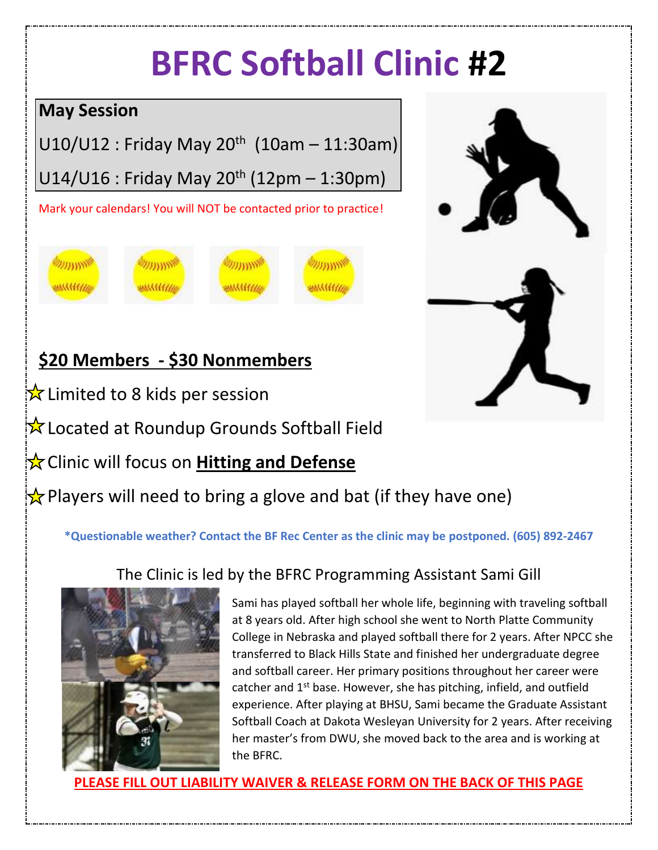# **BFRC Softball Clinic #2**

## **May Session**

U10/U12 : Friday May 20<sup>th</sup> (10am – 11:30am)

U14/U16 : Friday May 20<sup>th</sup> (12pm – 1:30pm)

Mark your calendars! You will NOT be contacted prior to practice!



## **\$20 Members - \$30 Nonmembers**

 $\frac{1}{2}$  Limited to 8 kids per session

 $\mathbf{\hat{x}}$  Located at Roundup Grounds Softball Field

**X** Clinic will focus on **Hitting and Defense** 

Players will need to bring a glove and bat (if they have one)

**\*Questionable weather? Contact the BF Rec Center as the clinic may be postponed. (605) 892-2467**

## The Clinic is led by the BFRC Programming Assistant Sami Gill



Sami has played softball her whole life, beginning with traveling softball at 8 years old. After high school she went to North Platte Community College in Nebraska and played softball there for 2 years. After NPCC she transferred to Black Hills State and finished her undergraduate degree and softball career. Her primary positions throughout her career were catcher and 1<sup>st</sup> base. However, she has pitching, infield, and outfield experience. After playing at BHSU, Sami became the Graduate Assistant Softball Coach at Dakota Wesleyan University for 2 years. After receiving her master's from DWU, she moved back to the area and is working at the BFRC.

**SE FILL OUT LIABILITY WAIVER & RELEASE FORM ON THE BACK OF THIS PAGE**